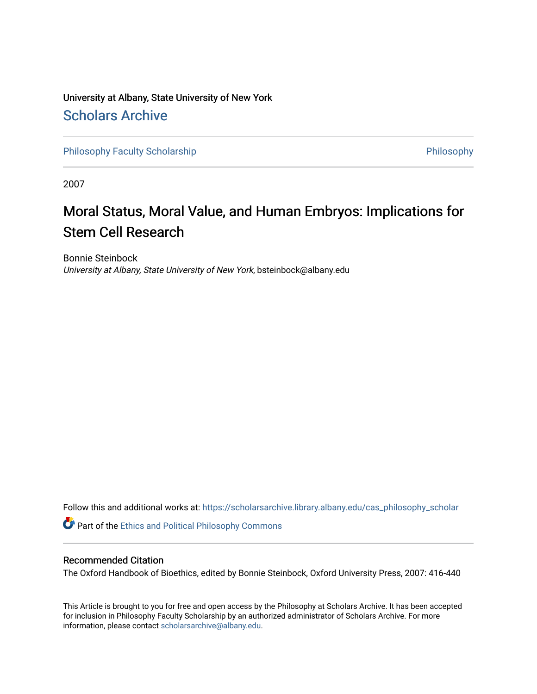University at Albany, State University of New York [Scholars Archive](https://scholarsarchive.library.albany.edu/) 

[Philosophy Faculty Scholarship](https://scholarsarchive.library.albany.edu/cas_philosophy_scholar) **Philosophy** Philosophy

2007

## Moral Status, Moral Value, and Human Embryos: Implications for Stem Cell Research

Bonnie Steinbock University at Albany, State University of New York, bsteinbock@albany.edu

Follow this and additional works at: [https://scholarsarchive.library.albany.edu/cas\\_philosophy\\_scholar](https://scholarsarchive.library.albany.edu/cas_philosophy_scholar?utm_source=scholarsarchive.library.albany.edu%2Fcas_philosophy_scholar%2F2&utm_medium=PDF&utm_campaign=PDFCoverPages) Part of the [Ethics and Political Philosophy Commons](http://network.bepress.com/hgg/discipline/529?utm_source=scholarsarchive.library.albany.edu%2Fcas_philosophy_scholar%2F2&utm_medium=PDF&utm_campaign=PDFCoverPages) 

## Recommended Citation

The Oxford Handbook of Bioethics, edited by Bonnie Steinbock, Oxford University Press, 2007: 416-440

This Article is brought to you for free and open access by the Philosophy at Scholars Archive. It has been accepted for inclusion in Philosophy Faculty Scholarship by an authorized administrator of Scholars Archive. For more information, please contact [scholarsarchive@albany.edu.](mailto:scholarsarchive@albany.edu)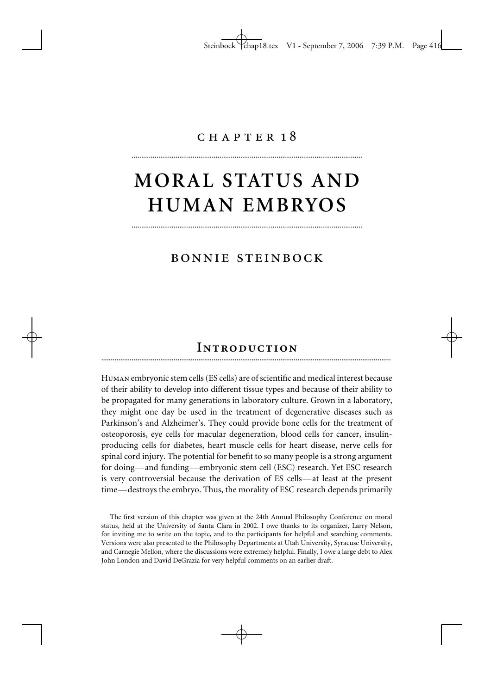Steinbock Chap18.tex V1 - September 7, 2006 7:39 P.M. Page 416

•••••••••••••••••••••••••••••••••••••••••••••••••••••••••••••••••••••••••••••••••••••••••••••••••••••••••••••••••••••••••

••••••••••••••••••••••••••••••••••••••••••••••••••••••••••••••••••••••••••••••••••••••••••••••••••••••••••••••••••••••••••••••• •••••••••••••••••••••••••

 $\oplus$ 

## CHAPTER 18

•••••••••••••••••••••••••••••••••••••••••••••••••••••••••••••••••••••••••••••••••••••••••••••••••••••••••••••••••••••••••

# **MORAL STATUS AND HUMAN EMBRYOS**

## bonnie steinbock

## **Introduction**

 $\oplus$ 

Human embryonic stem cells (ES cells) are of scientific and medical interest because of their ability to develop into different tissue types and because of their ability to be propagated for many generations in laboratory culture. Grown in a laboratory, they might one day be used in the treatment of degenerative diseases such as Parkinson's and Alzheimer's. They could provide bone cells for the treatment of osteoporosis, eye cells for macular degeneration, blood cells for cancer, insulinproducing cells for diabetes, heart muscle cells for heart disease, nerve cells for spinal cord injury. The potential for benefit to so many people is a strong argument for doing—and funding—embryonic stem cell (ESC) research. Yet ESC research is very controversial because the derivation of ES cells—at least at the present time—destroys the embryo. Thus, the morality of ESC research depends primarily

The first version of this chapter was given at the 24th Annual Philosophy Conference on moral status, held at the University of Santa Clara in 2002. I owe thanks to its organizer, Larry Nelson, for inviting me to write on the topic, and to the participants for helpful and searching comments. Versions were also presented to the Philosophy Departments at Utah University, Syracuse University, and Carnegie Mellon, where the discussions were extremely helpful. Finally, I owe a large debt to Alex John London and David DeGrazia for very helpful comments on an earlier draft.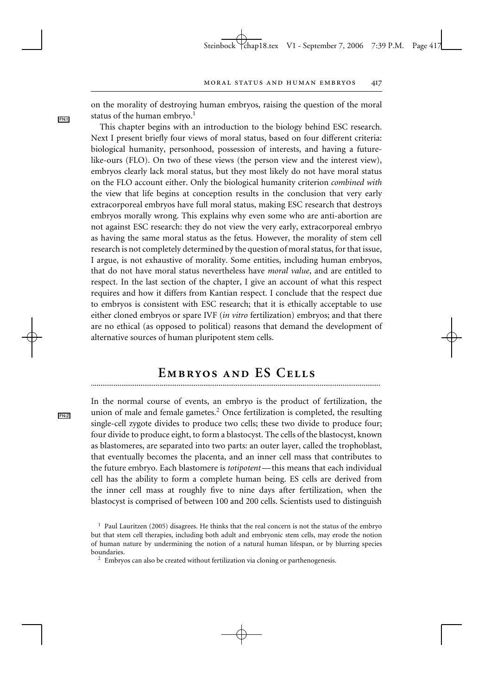on the morality of destroying human embryos, raising the question of the moral **FN:1** status of the human embryo.<sup>1</sup>

> This chapter begins with an introduction to the biology behind ESC research. Next I present briefly four views of moral status, based on four different criteria: biological humanity, personhood, possession of interests, and having a futurelike-ours (FLO). On two of these views (the person view and the interest view), embryos clearly lack moral status, but they most likely do not have moral status on the FLO account either. Only the biological humanity criterion *combined with* the view that life begins at conception results in the conclusion that very early extracorporeal embryos have full moral status, making ESC research that destroys embryos morally wrong. This explains why even some who are anti-abortion are not against ESC research: they do not view the very early, extracorporeal embryo as having the same moral status as the fetus. However, the morality of stem cell research is not completely determined by the question of moral status, for that issue, I argue, is not exhaustive of morality. Some entities, including human embryos, that do not have moral status nevertheless have *moral value*, and are entitled to respect. In the last section of the chapter, I give an account of what this respect requires and how it differs from Kantian respect. I conclude that the respect due to embryos is consistent with ESC research; that it is ethically acceptable to use either cloned embryos or spare IVF (*in vitro* fertilization) embryos; and that there are no ethical (as opposed to political) reasons that demand the development of alternative sources of human pluripotent stem cells.

#### **Embryos and ES Cells** ••••••••••••••••••••••••••••••••••••••••••••••••••••••••••••••••••••••••••••••••••••••••••••••••••••••••••••••••••••••••••••••• •••••••••••••••••••••••••

In the normal course of events, an embryo is the product of fertilization, the union of male and female gametes.<sup>2</sup> Once fertilization is completed, the resulting single-cell zygote divides to produce two cells; these two divide to produce four; four divide to produce eight, to form a blastocyst. The cells of the blastocyst, known as blastomeres, are separated into two parts: an outer layer, called the trophoblast, that eventually becomes the placenta, and an inner cell mass that contributes to the future embryo. Each blastomere is *totipotent*— this means that each individual cell has the ability to form a complete human being. ES cells are derived from the inner cell mass at roughly five to nine days after fertilization, when the blastocyst is comprised of between 100 and 200 cells. Scientists used to distinguish

 $\bigoplus$ 

 $\oplus$ 

<sup>&</sup>lt;sup>1</sup> Paul Lauritzen (2005) disagrees. He thinks that the real concern is not the status of the embryo but that stem cell therapies, including both adult and embryonic stem cells, may erode the notion of human nature by undermining the notion of a natural human lifespan, or by blurring species boundaries. <sup>2</sup> Embryos can also be created without fertilization via cloning or parthenogenesis.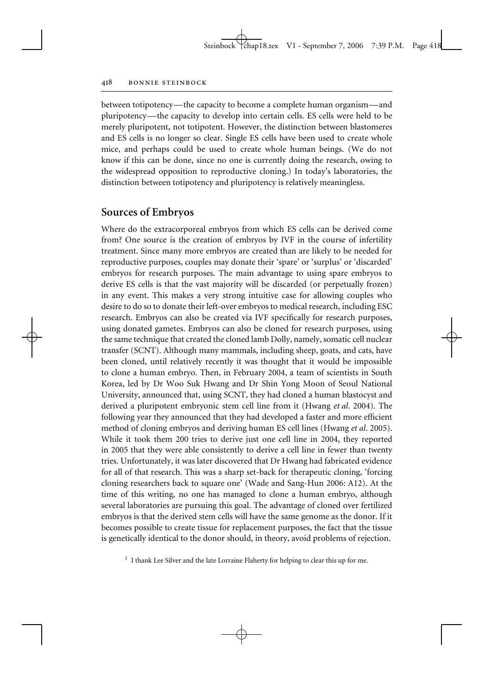#### bonnie steinbock

between totipotency— the capacity to become a complete human organism—and pluripotency— the capacity to develop into certain cells. ES cells were held to be merely pluripotent, not totipotent. However, the distinction between blastomeres and ES cells is no longer so clear. Single ES cells have been used to create whole mice, and perhaps could be used to create whole human beings. (We do not know if this can be done, since no one is currently doing the research, owing to the widespread opposition to reproductive cloning.) In today's laboratories, the distinction between totipotency and pluripotency is relatively meaningless.

## **Sources of Embryos**

 $\oplus$ 

Where do the extracorporeal embryos from which ES cells can be derived come from? One source is the creation of embryos by IVF in the course of infertility treatment. Since many more embryos are created than are likely to be needed for reproductive purposes, couples may donate their 'spare' or 'surplus' or 'discarded' embryos for research purposes. The main advantage to using spare embryos to derive ES cells is that the vast majority will be discarded (or perpetually frozen) in any event. This makes a very strong intuitive case for allowing couples who desire to do so to donate their left-over embryos to medical research, including ESC research. Embryos can also be created via IVF specifically for research purposes, using donated gametes. Embryos can also be cloned for research purposes, using the same technique that created the cloned lamb Dolly, namely, somatic cell nuclear transfer (SCNT). Although many mammals, including sheep, goats, and cats, have been cloned, until relatively recently it was thought that it would be impossible to clone a human embryo. Then, in February 2004, a team of scientists in South Korea, led by Dr Woo Suk Hwang and Dr Shin Yong Moon of Seoul National University, announced that, using SCNT, they had cloned a human blastocyst and derived a pluripotent embryonic stem cell line from it (Hwang *et al*. 2004). The following year they announced that they had developed a faster and more efficient method of cloning embryos and deriving human ES cell lines (Hwang *et al*. 2005). While it took them 200 tries to derive just one cell line in 2004, they reported in 2005 that they were able consistently to derive a cell line in fewer than twenty tries. Unfortunately, it was later discovered that Dr Hwang had fabricated evidence for all of that research. This was a sharp set-back for therapeutic cloning, 'forcing cloning researchers back to square one' (Wade and Sang-Hun 2006: A12). At the time of this writing, no one has managed to clone a human embryo, although several laboratories are pursuing this goal. The advantage of cloned over fertilized embryos is that the derived stem cells will have the same genome as the donor. If it becomes possible to create tissue for replacement purposes, the fact that the tissue is genetically identical to the donor should, in theory, avoid problems of rejection.

<sup>3</sup> I thank Lee Silver and the late Lorraine Flaherty for helping to clear this up for me.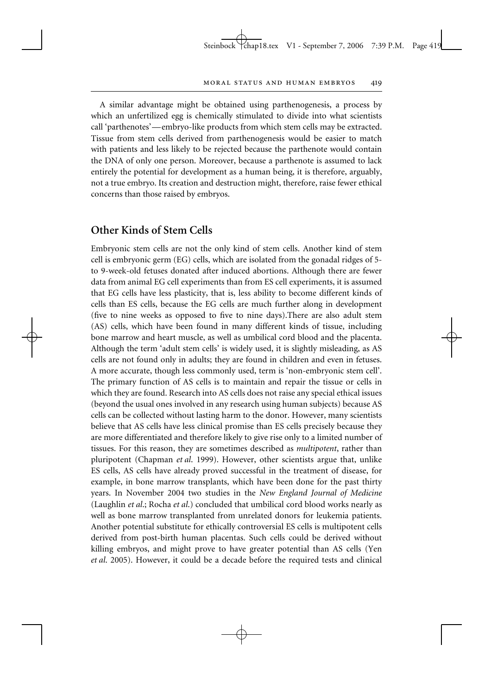#### moral status and human embryos

A similar advantage might be obtained using parthenogenesis, a process by which an unfertilized egg is chemically stimulated to divide into what scientists call 'parthenotes'—embryo-like products from which stem cells may be extracted. Tissue from stem cells derived from parthenogenesis would be easier to match with patients and less likely to be rejected because the parthenote would contain the DNA of only one person. Moreover, because a parthenote is assumed to lack entirely the potential for development as a human being, it is therefore, arguably, not a true embryo. Its creation and destruction might, therefore, raise fewer ethical concerns than those raised by embryos.

## **Other Kinds of Stem Cells**

 $\oplus$ 

Embryonic stem cells are not the only kind of stem cells. Another kind of stem cell is embryonic germ (EG) cells, which are isolated from the gonadal ridges of 5 to 9-week-old fetuses donated after induced abortions. Although there are fewer data from animal EG cell experiments than from ES cell experiments, it is assumed that EG cells have less plasticity, that is, less ability to become different kinds of cells than ES cells, because the EG cells are much further along in development (five to nine weeks as opposed to five to nine days).There are also adult stem (AS) cells, which have been found in many different kinds of tissue, including bone marrow and heart muscle, as well as umbilical cord blood and the placenta. Although the term 'adult stem cells' is widely used, it is slightly misleading, as AS cells are not found only in adults; they are found in children and even in fetuses. A more accurate, though less commonly used, term is 'non-embryonic stem cell'. The primary function of AS cells is to maintain and repair the tissue or cells in which they are found. Research into AS cells does not raise any special ethical issues (beyond the usual ones involved in any research using human subjects) because AS cells can be collected without lasting harm to the donor. However, many scientists believe that AS cells have less clinical promise than ES cells precisely because they are more differentiated and therefore likely to give rise only to a limited number of tissues. For this reason, they are sometimes described as *multipotent*, rather than pluripotent (Chapman *et al*. 1999). However, other scientists argue that, unlike ES cells, AS cells have already proved successful in the treatment of disease, for example, in bone marrow transplants, which have been done for the past thirty years. In November 2004 two studies in the *New England Journal of Medicine* (Laughlin *et al*.; Rocha *et al*.) concluded that umbilical cord blood works nearly as well as bone marrow transplanted from unrelated donors for leukemia patients. Another potential substitute for ethically controversial ES cells is multipotent cells derived from post-birth human placentas. Such cells could be derived without killing embryos, and might prove to have greater potential than AS cells (Yen *et al*. 2005). However, it could be a decade before the required tests and clinical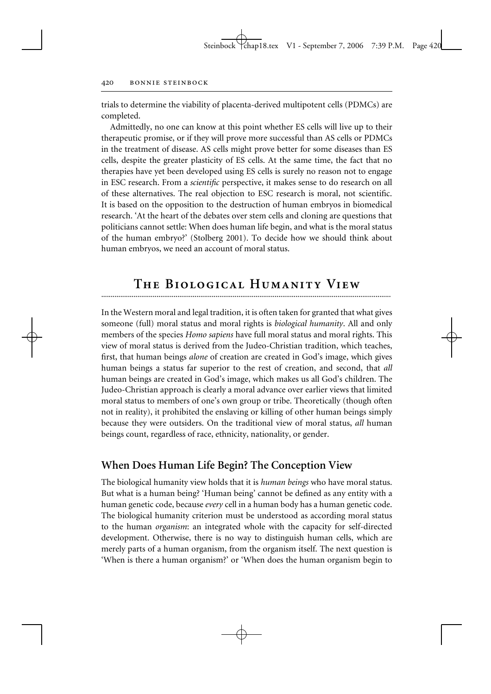#### 420 BONNIE STEINBOCK

 $\oplus$ 

trials to determine the viability of placenta-derived multipotent cells (PDMCs) are completed.

Admittedly, no one can know at this point whether ES cells will live up to their therapeutic promise, or if they will prove more successful than AS cells or PDMCs in the treatment of disease. AS cells might prove better for some diseases than ES cells, despite the greater plasticity of ES cells. At the same time, the fact that no therapies have yet been developed using ES cells is surely no reason not to engage in ESC research. From a *scientific* perspective, it makes sense to do research on all of these alternatives. The real objection to ESC research is moral, not scientific. It is based on the opposition to the destruction of human embryos in biomedical research. 'At the heart of the debates over stem cells and cloning are questions that politicians cannot settle: When does human life begin, and what is the moral status of the human embryo?' (Stolberg 2001). To decide how we should think about human embryos, we need an account of moral status.

#### **The Biological Humanity View** ••••••••••••••••••••••••••••••••••••••••••••••••••••••••••••••••••••••••••••••••••••••••••••••••••••••••••••••••••••••••••••••• •••••••••••••••••••••••••

In the Western moral and legal tradition, it is often taken for granted that what gives someone (full) moral status and moral rights is *biological humanity*. All and only members of the species *Homo sapiens* have full moral status and moral rights. This view of moral status is derived from the Judeo-Christian tradition, which teaches, first, that human beings *alone* of creation are created in God's image, which gives human beings a status far superior to the rest of creation, and second, that *all* human beings are created in God's image, which makes us all God's children. The Judeo-Christian approach is clearly a moral advance over earlier views that limited moral status to members of one's own group or tribe. Theoretically (though often not in reality), it prohibited the enslaving or killing of other human beings simply because they were outsiders. On the traditional view of moral status, *all* human beings count, regardless of race, ethnicity, nationality, or gender.

## **When Does Human Life Begin? The Conception View**

The biological humanity view holds that it is *human beings* who have moral status. But what is a human being? 'Human being' cannot be defined as any entity with a human genetic code, because *every* cell in a human body has a human genetic code. The biological humanity criterion must be understood as according moral status to the human *organism*: an integrated whole with the capacity for self-directed development. Otherwise, there is no way to distinguish human cells, which are merely parts of a human organism, from the organism itself. The next question is 'When is there a human organism?' or 'When does the human organism begin to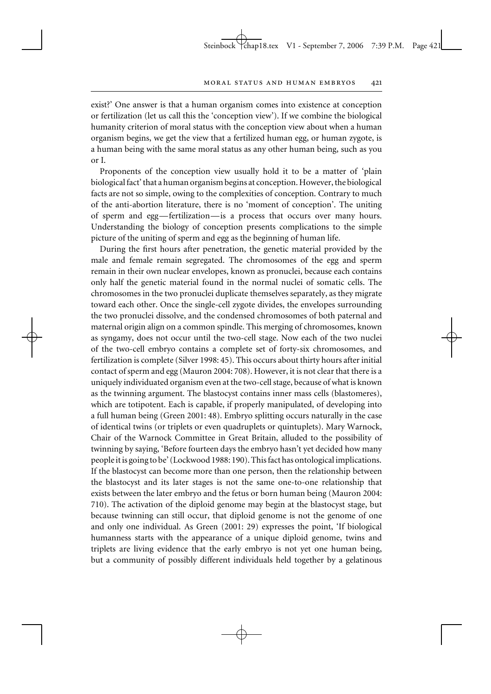#### moral status and human embryos

exist?' One answer is that a human organism comes into existence at conception or fertilization (let us call this the 'conception view'). If we combine the biological humanity criterion of moral status with the conception view about when a human organism begins, we get the view that a fertilized human egg, or human zygote, is a human being with the same moral status as any other human being, such as you or I.

Proponents of the conception view usually hold it to be a matter of 'plain biological fact' that a human organism begins at conception. However, the biological facts are not so simple, owing to the complexities of conception. Contrary to much of the anti-abortion literature, there is no 'moment of conception'. The uniting of sperm and egg—fertilization—is a process that occurs over many hours. Understanding the biology of conception presents complications to the simple picture of the uniting of sperm and egg as the beginning of human life.

During the first hours after penetration, the genetic material provided by the male and female remain segregated. The chromosomes of the egg and sperm remain in their own nuclear envelopes, known as pronuclei, because each contains only half the genetic material found in the normal nuclei of somatic cells. The chromosomes in the two pronuclei duplicate themselves separately, as they migrate toward each other. Once the single-cell zygote divides, the envelopes surrounding the two pronuclei dissolve, and the condensed chromosomes of both paternal and maternal origin align on a common spindle. This merging of chromosomes, known as syngamy, does not occur until the two-cell stage. Now each of the two nuclei of the two-cell embryo contains a complete set of forty-six chromosomes, and fertilization is complete (Silver 1998: 45). This occurs about thirty hours after initial contact of sperm and egg (Mauron 2004: 708). However, it is not clear that there is a uniquely individuated organism even at the two-cell stage, because of what is known as the twinning argument. The blastocyst contains inner mass cells (blastomeres), which are totipotent. Each is capable, if properly manipulated, of developing into a full human being (Green 2001: 48). Embryo splitting occurs naturally in the case of identical twins (or triplets or even quadruplets or quintuplets). Mary Warnock, Chair of the Warnock Committee in Great Britain, alluded to the possibility of twinning by saying, 'Before fourteen days the embryo hasn't yet decided how many people it is going to be' (Lockwood 1988: 190). Thisfact has ontological implications. If the blastocyst can become more than one person, then the relationship between the blastocyst and its later stages is not the same one-to-one relationship that exists between the later embryo and the fetus or born human being (Mauron 2004: 710). The activation of the diploid genome may begin at the blastocyst stage, but because twinning can still occur, that diploid genome is not the genome of one and only one individual. As Green (2001: 29) expresses the point, 'If biological humanness starts with the appearance of a unique diploid genome, twins and triplets are living evidence that the early embryo is not yet one human being, but a community of possibly different individuals held together by a gelatinous

 $\oplus$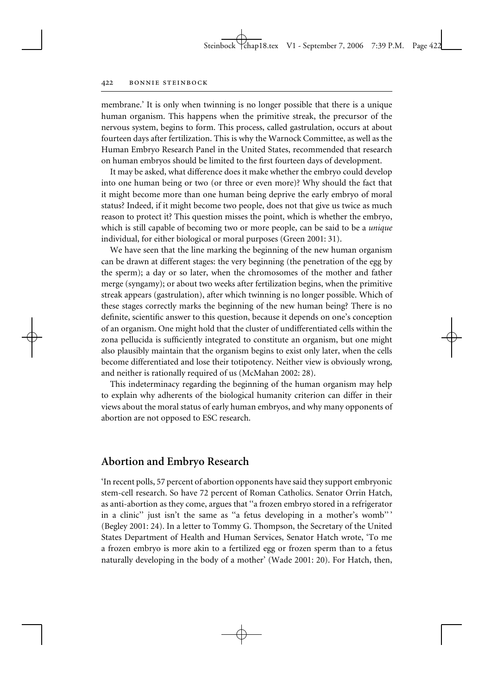#### 422 BONNIE STEINBOCK

membrane.' It is only when twinning is no longer possible that there is a unique human organism. This happens when the primitive streak, the precursor of the nervous system, begins to form. This process, called gastrulation, occurs at about fourteen days after fertilization. This is why the Warnock Committee, as well as the Human Embryo Research Panel in the United States, recommended that research on human embryos should be limited to the first fourteen days of development.

It may be asked, what difference does it make whether the embryo could develop into one human being or two (or three or even more)? Why should the fact that it might become more than one human being deprive the early embryo of moral status? Indeed, if it might become two people, does not that give us twice as much reason to protect it? This question misses the point, which is whether the embryo, which is still capable of becoming two or more people, can be said to be a *unique* individual, for either biological or moral purposes (Green 2001: 31).

We have seen that the line marking the beginning of the new human organism can be drawn at different stages: the very beginning (the penetration of the egg by the sperm); a day or so later, when the chromosomes of the mother and father merge (syngamy); or about two weeks after fertilization begins, when the primitive streak appears (gastrulation), after which twinning is no longer possible. Which of these stages correctly marks the beginning of the new human being? There is no definite, scientific answer to this question, because it depends on one's conception of an organism. One might hold that the cluster of undifferentiated cells within the zona pellucida is sufficiently integrated to constitute an organism, but one might also plausibly maintain that the organism begins to exist only later, when the cells become differentiated and lose their totipotency. Neither view is obviously wrong, and neither is rationally required of us (McMahan 2002: 28).

This indeterminacy regarding the beginning of the human organism may help to explain why adherents of the biological humanity criterion can differ in their views about the moral status of early human embryos, and why many opponents of abortion are not opposed to ESC research.

## **Abortion and Embryo Research**

 $\oplus$ 

'In recent polls, 57 percent of abortion opponents have said they support embryonic stem-cell research. So have 72 percent of Roman Catholics. Senator Orrin Hatch, as anti-abortion as they come, argues that ''a frozen embryo stored in a refrigerator in a clinic" just isn't the same as "a fetus developing in a mother's womb"' (Begley 2001: 24). In a letter to Tommy G. Thompson, the Secretary of the United States Department of Health and Human Services, Senator Hatch wrote, 'To me a frozen embryo is more akin to a fertilized egg or frozen sperm than to a fetus naturally developing in the body of a mother' (Wade 2001: 20). For Hatch, then,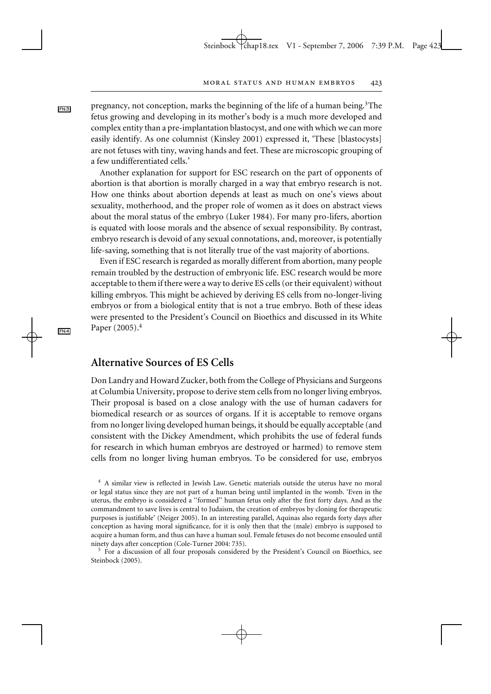#### moral status and human embryos

pregnancy, not conception, marks the beginning of the life of a human being.<sup>3</sup>The fetus growing and developing in its mother's body is a much more developed and complex entity than a pre-implantation blastocyst, and one with which we can more easily identify. As one columnist (Kinsley 2001) expressed it, 'These [blastocysts] are not fetuses with tiny, waving hands and feet. These are microscopic grouping of a few undifferentiated cells.'

> Another explanation for support for ESC research on the part of opponents of abortion is that abortion is morally charged in a way that embryo research is not. How one thinks about abortion depends at least as much on one's views about sexuality, motherhood, and the proper role of women as it does on abstract views about the moral status of the embryo (Luker 1984). For many pro-lifers, abortion is equated with loose morals and the absence of sexual responsibility. By contrast, embryo research is devoid of any sexual connotations, and, moreover, is potentially life-saving, something that is not literally true of the vast majority of abortions.

Even if ESC research is regarded as morally different from abortion, many people remain troubled by the destruction of embryonic life. ESC research would be more acceptable to them if there were a way to derive ES cells (or their equivalent) without killing embryos. This might be achieved by deriving ES cells from no-longer-living embryos or from a biological entity that is not a true embryo. Both of these ideas were presented to the President's Council on Bioethics and discussed in its White **Paper** (2005).<sup>4</sup>

## **Alternative Sources of ES Cells**

Don Landry and Howard Zucker, both from the College of Physicians and Surgeons at Columbia University, propose to derive stem cells from no longer living embryos. Their proposal is based on a close analogy with the use of human cadavers for biomedical research or as sources of organs. If it is acceptable to remove organs from no longer living developed human beings, it should be equally acceptable (and consistent with the Dickey Amendment, which prohibits the use of federal funds for research in which human embryos are destroyed or harmed) to remove stem cells from no longer living human embryos. To be considered for use, embryos

 $\bigoplus$ 

 $\oplus$ 

<sup>4</sup> A similar view is reflected in Jewish Law. Genetic materials outside the uterus have no moral or legal status since they are not part of a human being until implanted in the womb. 'Even in the uterus, the embryo is considered a ''formed'' human fetus only after the first forty days. And as the commandment to save lives is central to Judaism, the creation of embryos by cloning for therapeutic purposes is justifiable' (Neiger 2005). In an interesting parallel, Aquinas also regards forty days after conception as having moral significance, for it is only then that the (male) embryo is supposed to acquire a human form, and thus can have a human soul. Female fetuses do not become ensouled until

ninety days after conception (Cole-Turner 2004: 735).<br><sup>5</sup> For a discussion of all four proposals considered by the President's Council on Bioethics, see Steinbock (2005).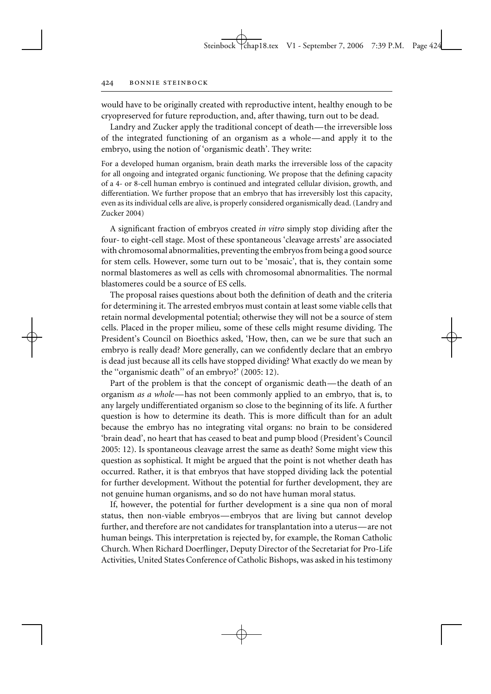#### 424 BONNIE STEINBOCK

 $\oplus$ 

would have to be originally created with reproductive intent, healthy enough to be cryopreserved for future reproduction, and, after thawing, turn out to be dead.

Landry and Zucker apply the traditional concept of death— the irreversible loss of the integrated functioning of an organism as a whole—and apply it to the embryo, using the notion of 'organismic death'. They write:

For a developed human organism, brain death marks the irreversible loss of the capacity for all ongoing and integrated organic functioning. We propose that the defining capacity of a 4- or 8-cell human embryo is continued and integrated cellular division, growth, and differentiation. We further propose that an embryo that has irreversibly lost this capacity, even as its individual cells are alive, is properly considered organismically dead. (Landry and Zucker 2004)

A significant fraction of embryos created *in vitro* simply stop dividing after the four- to eight-cell stage. Most of these spontaneous 'cleavage arrests' are associated with chromosomal abnormalities, preventing the embryos from being a good source for stem cells. However, some turn out to be 'mosaic', that is, they contain some normal blastomeres as well as cells with chromosomal abnormalities. The normal blastomeres could be a source of ES cells.

The proposal raises questions about both the definition of death and the criteria for determining it. The arrested embryos must contain at least some viable cells that retain normal developmental potential; otherwise they will not be a source of stem cells. Placed in the proper milieu, some of these cells might resume dividing. The President's Council on Bioethics asked, 'How, then, can we be sure that such an embryo is really dead? More generally, can we confidently declare that an embryo is dead just because all its cells have stopped dividing? What exactly do we mean by the ''organismic death'' of an embryo?' (2005: 12).

Part of the problem is that the concept of organismic death— the death of an organism *as a whole*—has not been commonly applied to an embryo, that is, to any largely undifferentiated organism so close to the beginning of its life. A further question is how to determine its death. This is more difficult than for an adult because the embryo has no integrating vital organs: no brain to be considered 'brain dead', no heart that has ceased to beat and pump blood (President's Council 2005: 12). Is spontaneous cleavage arrest the same as death? Some might view this question as sophistical. It might be argued that the point is not whether death has occurred. Rather, it is that embryos that have stopped dividing lack the potential for further development. Without the potential for further development, they are not genuine human organisms, and so do not have human moral status.

If, however, the potential for further development is a sine qua non of moral status, then non-viable embryos—embryos that are living but cannot develop further, and therefore are not candidates for transplantation into a uterus—are not human beings. This interpretation is rejected by, for example, the Roman Catholic Church. When Richard Doerflinger, Deputy Director of the Secretariat for Pro-Life Activities, United States Conference of Catholic Bishops, was asked in his testimony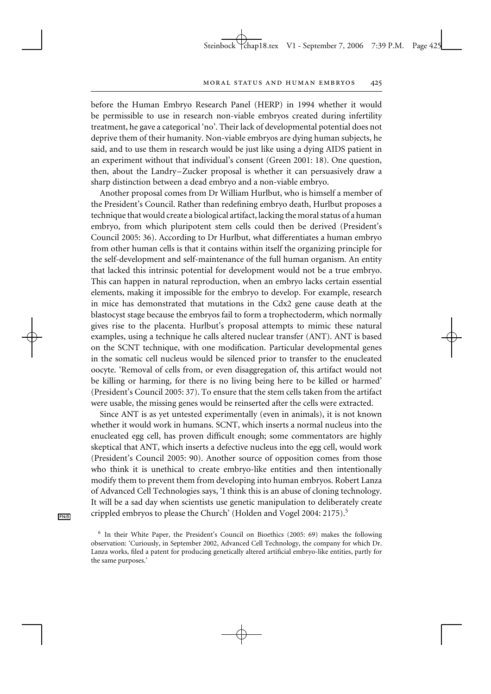#### moral status and human embryos

before the Human Embryo Research Panel (HERP) in 1994 whether it would be permissible to use in research non-viable embryos created during infertility treatment, he gave a categorical 'no'. Their lack of developmental potential does not deprive them of their humanity. Non-viable embryos are dying human subjects, he said, and to use them in research would be just like using a dying AIDS patient in an experiment without that individual's consent (Green 2001: 18). One question, then, about the Landry–Zucker proposal is whether it can persuasively draw a sharp distinction between a dead embryo and a non-viable embryo.

Another proposal comes from Dr William Hurlbut, who is himself a member of the President's Council. Rather than redefining embryo death, Hurlbut proposes a technique that would create a biological artifact, lacking the moral status of a human embryo, from which pluripotent stem cells could then be derived (President's Council 2005: 36). According to Dr Hurlbut, what differentiates a human embryo from other human cells is that it contains within itself the organizing principle for the self-development and self-maintenance of the full human organism. An entity that lacked this intrinsic potential for development would not be a true embryo. This can happen in natural reproduction, when an embryo lacks certain essential elements, making it impossible for the embryo to develop. For example, research in mice has demonstrated that mutations in the Cdx2 gene cause death at the blastocyst stage because the embryos fail to form a trophectoderm, which normally gives rise to the placenta. Hurlbut's proposal attempts to mimic these natural examples, using a technique he calls altered nuclear transfer (ANT). ANT is based on the SCNT technique, with one modification. Particular developmental genes in the somatic cell nucleus would be silenced prior to transfer to the enucleated oocyte. 'Removal of cells from, or even disaggregation of, this artifact would not be killing or harming, for there is no living being here to be killed or harmed' (President's Council 2005: 37). To ensure that the stem cells taken from the artifact were usable, the missing genes would be reinserted after the cells were extracted.

Since ANT is as yet untested experimentally (even in animals), it is not known whether it would work in humans. SCNT, which inserts a normal nucleus into the enucleated egg cell, has proven difficult enough; some commentators are highly skeptical that ANT, which inserts a defective nucleus into the egg cell, would work (President's Council 2005: 90). Another source of opposition comes from those who think it is unethical to create embryo-like entities and then intentionally modify them to prevent them from developing into human embryos. Robert Lanza of Advanced Cell Technologies says, 'I think this is an abuse of cloning technology. It will be a sad day when scientists use genetic manipulation to deliberately create rippled embryos to please the Church' (Holden and Vogel 2004: 2175).<sup>5</sup>

 $\oplus$ 

<sup>6</sup> In their White Paper, the President's Council on Bioethics (2005: 69) makes the following observation: 'Curiously, in September 2002, Advanced Cell Technology, the company for which Dr. Lanza works, filed a patent for producing genetically altered artificial embryo-like entities, partly for the same purposes.'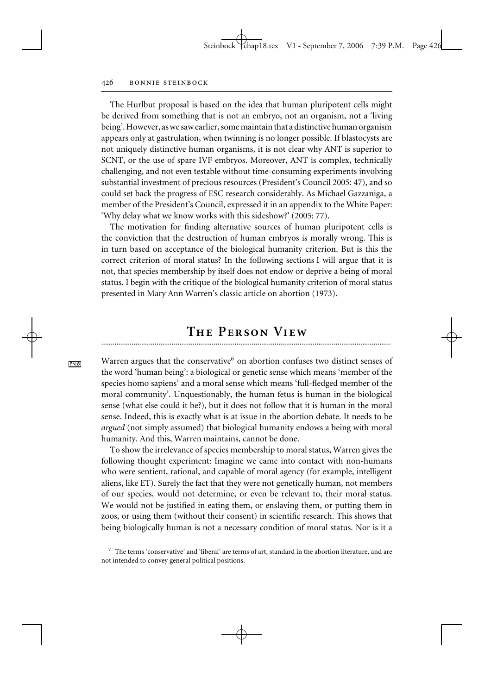#### 426 BONNIE STEINBOCK

 $\oplus$ 

The Hurlbut proposal is based on the idea that human pluripotent cells might be derived from something that is not an embryo, not an organism, not a 'living being'. However, as we saw earlier, some maintain that a distinctive human organism appears only at gastrulation, when twinning is no longer possible. If blastocysts are not uniquely distinctive human organisms, it is not clear why ANT is superior to SCNT, or the use of spare IVF embryos. Moreover, ANT is complex, technically challenging, and not even testable without time-consuming experiments involving substantial investment of precious resources (President's Council 2005: 47), and so could set back the progress of ESC research considerably. As Michael Gazzaniga, a member of the President's Council, expressed it in an appendix to the White Paper: 'Why delay what we know works with this sideshow?' (2005: 77).

The motivation for finding alternative sources of human pluripotent cells is the conviction that the destruction of human embryos is morally wrong. This is in turn based on acceptance of the biological humanity criterion. But is this the correct criterion of moral status? In the following sections I will argue that it is not, that species membership by itself does not endow or deprive a being of moral status. I begin with the critique of the biological humanity criterion of moral status presented in Mary Ann Warren's classic article on abortion (1973).

## **The Person View** ••••••••••••••••••••••••••••••••••••••••••••••••••••••••••••••••••••••••••••••••••••••••••••••••••••••••••••••••••••••••••••••• •••••••••••••••••••••••••

**Warren argues that the conservative**<sup>6</sup> on abortion confuses two distinct senses of the word 'human being': a biological or genetic sense which means 'member of the species homo sapiens' and a moral sense which means 'full-fledged member of the moral community'. Unquestionably, the human fetus is human in the biological sense (what else could it be?), but it does not follow that it is human in the moral sense. Indeed, this is exactly what is at issue in the abortion debate. It needs to be *argued* (not simply assumed) that biological humanity endows a being with moral humanity. And this, Warren maintains, cannot be done.

> To show the irrelevance of species membership to moral status, Warren gives the following thought experiment: Imagine we came into contact with non-humans who were sentient, rational, and capable of moral agency (for example, intelligent aliens, like ET). Surely the fact that they were not genetically human, not members of our species, would not determine, or even be relevant to, their moral status. We would not be justified in eating them, or enslaving them, or putting them in zoos, or using them (without their consent) in scientific research. This shows that being biologically human is not a necessary condition of moral status. Nor is it a

<sup>7</sup> The terms 'conservative' and 'liberal' are terms of art, standard in the abortion literature, and are not intended to convey general political positions.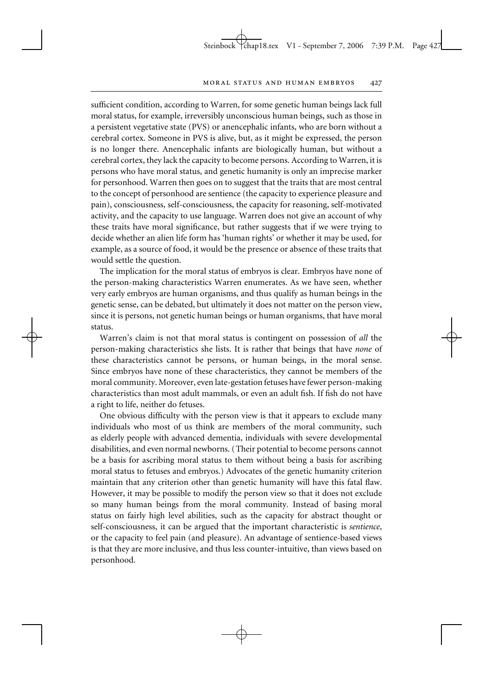#### moral status and human embryos

sufficient condition, according to Warren, for some genetic human beings lack full moral status, for example, irreversibly unconscious human beings, such as those in a persistent vegetative state (PVS) or anencephalic infants, who are born without a cerebral cortex. Someone in PVS is alive, but, as it might be expressed, the person is no longer there. Anencephalic infants are biologically human, but without a cerebral cortex, they lack the capacity to become persons. According to Warren, it is persons who have moral status, and genetic humanity is only an imprecise marker for personhood. Warren then goes on to suggest that the traits that are most central to the concept of personhood are sentience (the capacity to experience pleasure and pain), consciousness, self-consciousness, the capacity for reasoning, self-motivated activity, and the capacity to use language. Warren does not give an account of why these traits have moral significance, but rather suggests that if we were trying to decide whether an alien life form has 'human rights' or whether it may be used, for example, as a source of food, it would be the presence or absence of these traits that would settle the question.

The implication for the moral status of embryos is clear. Embryos have none of the person-making characteristics Warren enumerates. As we have seen, whether very early embryos are human organisms, and thus qualify as human beings in the genetic sense, can be debated, but ultimately it does not matter on the person view, since it is persons, not genetic human beings or human organisms, that have moral status.

Warren's claim is not that moral status is contingent on possession of *all* the person-making characteristics she lists. It is rather that beings that have *none* of these characteristics cannot be persons, or human beings, in the moral sense. Since embryos have none of these characteristics, they cannot be members of the moral community. Moreover, even late-gestation fetuses have fewer person-making characteristics than most adult mammals, or even an adult fish. If fish do not have a right to life, neither do fetuses.

 $\oplus$ 

One obvious difficulty with the person view is that it appears to exclude many individuals who most of us think are members of the moral community, such as elderly people with advanced dementia, individuals with severe developmental disabilities, and even normal newborns. (Their potential to become persons cannot be a basis for ascribing moral status to them without being a basis for ascribing moral status to fetuses and embryos.) Advocates of the genetic humanity criterion maintain that any criterion other than genetic humanity will have this fatal flaw. However, it may be possible to modify the person view so that it does not exclude so many human beings from the moral community. Instead of basing moral status on fairly high level abilities, such as the capacity for abstract thought or self-consciousness, it can be argued that the important characteristic is *sentience*, or the capacity to feel pain (and pleasure). An advantage of sentience-based views is that they are more inclusive, and thus less counter-intuitive, than views based on personhood.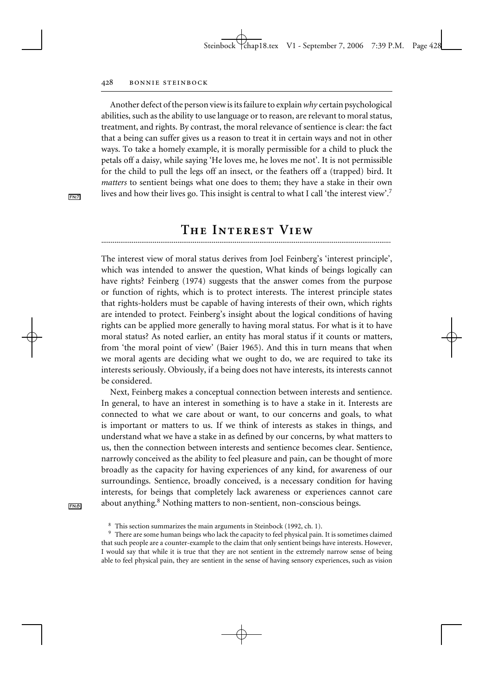#### bonnie steinbock

Another defect of the person view is its failure to explain*why* certain psychological abilities, such as the ability to use language or to reason, are relevant to moral status, treatment, and rights. By contrast, the moral relevance of sentience is clear: the fact that a being can suffer gives us a reason to treat it in certain ways and not in other ways. To take a homely example, it is morally permissible for a child to pluck the petals off a daisy, while saying 'He loves me, he loves me not'. It is not permissible for the child to pull the legs off an insect, or the feathers off a (trapped) bird. It *matters* to sentient beings what one does to them; they have a stake in their own lives and how their lives go. This insight is central to what I call 'the interest view'.<sup>7</sup>

 $\oplus$ 

## **The Interest View** ••••••••••••••••••••••••••••••••••••••••••••••••••••••••••••••••••••••••••••••••••••••••••••••••••••••••••••••••••••••••••••••• •••••••••••••••••••••••••

The interest view of moral status derives from Joel Feinberg's 'interest principle', which was intended to answer the question, What kinds of beings logically can have rights? Feinberg (1974) suggests that the answer comes from the purpose or function of rights, which is to protect interests. The interest principle states that rights-holders must be capable of having interests of their own, which rights are intended to protect. Feinberg's insight about the logical conditions of having rights can be applied more generally to having moral status. For what is it to have moral status? As noted earlier, an entity has moral status if it counts or matters, from 'the moral point of view' (Baier 1965). And this in turn means that when we moral agents are deciding what we ought to do, we are required to take its interests seriously. Obviously, if a being does not have interests, its interests cannot be considered.

Next, Feinberg makes a conceptual connection between interests and sentience. In general, to have an interest in something is to have a stake in it. Interests are connected to what we care about or want, to our concerns and goals, to what is important or matters to us. If we think of interests as stakes in things, and understand what we have a stake in as defined by our concerns, by what matters to us, then the connection between interests and sentience becomes clear. Sentience, narrowly conceived as the ability to feel pleasure and pain, can be thought of more broadly as the capacity for having experiences of any kind, for awareness of our surroundings. Sentience, broadly conceived, is a necessary condition for having interests, for beings that completely lack awareness or experiences cannot care FN:8 about anything.<sup>8</sup> Nothing matters to non-sentient, non-conscious beings.

 $^8$  This section summarizes the main arguments in Steinbock (1992, ch. 1).  $^9$  There are some human beings who lack the capacity to feel physical pain. It is sometimes claimed that such people are a counter-example to the claim that only sentient beings have interests. However, I would say that while it is true that they are not sentient in the extremely narrow sense of being able to feel physical pain, they are sentient in the sense of having sensory experiences, such as vision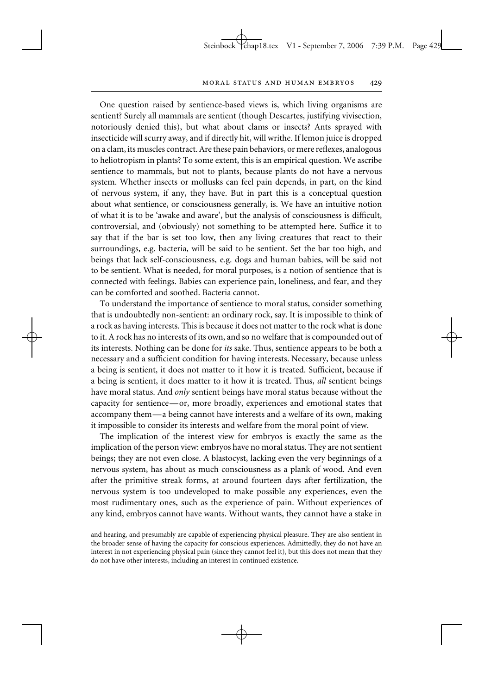#### moral status and human embryos

One question raised by sentience-based views is, which living organisms are sentient? Surely all mammals are sentient (though Descartes, justifying vivisection, notoriously denied this), but what about clams or insects? Ants sprayed with insecticide will scurry away, and if directly hit, will writhe. If lemon juice is dropped on a clam, its muscles contract. Are these pain behaviors, or mere reflexes, analogous to heliotropism in plants? To some extent, this is an empirical question. We ascribe sentience to mammals, but not to plants, because plants do not have a nervous system. Whether insects or mollusks can feel pain depends, in part, on the kind of nervous system, if any, they have. But in part this is a conceptual question about what sentience, or consciousness generally, is. We have an intuitive notion of what it is to be 'awake and aware', but the analysis of consciousness is difficult, controversial, and (obviously) not something to be attempted here. Suffice it to say that if the bar is set too low, then any living creatures that react to their surroundings, e.g. bacteria, will be said to be sentient. Set the bar too high, and beings that lack self-consciousness, e.g. dogs and human babies, will be said not to be sentient. What is needed, for moral purposes, is a notion of sentience that is connected with feelings. Babies can experience pain, loneliness, and fear, and they can be comforted and soothed. Bacteria cannot.

To understand the importance of sentience to moral status, consider something that is undoubtedly non-sentient: an ordinary rock, say. It is impossible to think of a rock as having interests. This is because it does not matter to the rock what is done to it. A rock has no interests of its own, and so no welfare that is compounded out of its interests. Nothing can be done for *its* sake. Thus, sentience appears to be both a necessary and a sufficient condition for having interests. Necessary, because unless a being is sentient, it does not matter to it how it is treated. Sufficient, because if a being is sentient, it does matter to it how it is treated. Thus, *all* sentient beings have moral status. And *only* sentient beings have moral status because without the capacity for sentience—or, more broadly, experiences and emotional states that accompany them—a being cannot have interests and a welfare of its own, making it impossible to consider its interests and welfare from the moral point of view.

 $\oplus$ 

The implication of the interest view for embryos is exactly the same as the implication of the person view: embryos have no moral status. They are not sentient beings; they are not even close. A blastocyst, lacking even the very beginnings of a nervous system, has about as much consciousness as a plank of wood. And even after the primitive streak forms, at around fourteen days after fertilization, the nervous system is too undeveloped to make possible any experiences, even the most rudimentary ones, such as the experience of pain. Without experiences of any kind, embryos cannot have wants. Without wants, they cannot have a stake in

and hearing, and presumably are capable of experiencing physical pleasure. They are also sentient in the broader sense of having the capacity for conscious experiences. Admittedly, they do not have an interest in not experiencing physical pain (since they cannot feel it), but this does not mean that they do not have other interests, including an interest in continued existence.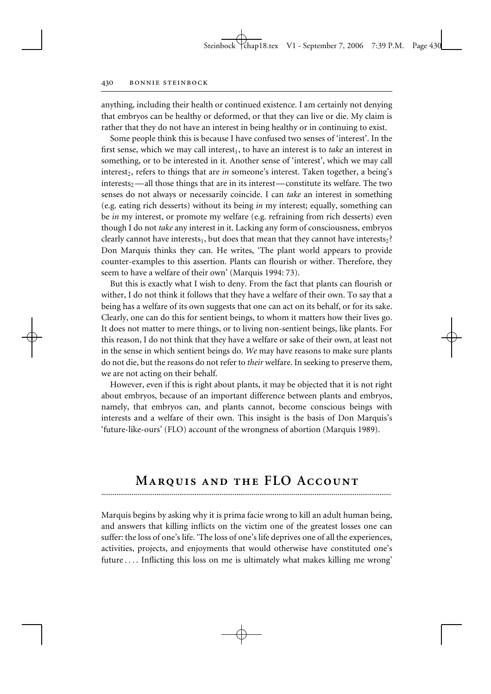#### 430 BONNIE STEINBOCK

 $\oplus$ 

anything, including their health or continued existence. I am certainly not denying that embryos can be healthy or deformed, or that they can live or die. My claim is rather that they do not have an interest in being healthy or in continuing to exist.

Some people think this is because I have confused two senses of 'interest'. In the first sense, which we may call interest<sub>1</sub>, to have an interest is to *take* an interest in something, or to be interested in it. Another sense of 'interest', which we may call interest<sub>2</sub>, refers to things that are *in* someone's interest. Taken together, a being's  $interests<sub>2</sub>$ —all those things that are in its interest—constitute its welfare. The two senses do not always or necessarily coincide. I can *take* an interest in something (e.g. eating rich desserts) without its being *in* my interest; equally, something can be *in* my interest, or promote my welfare (e.g. refraining from rich desserts) even though I do not *take* any interest in it. Lacking any form of consciousness, embryos clearly cannot have interests<sub>1</sub>, but does that mean that they cannot have interests<sub>2</sub>? Don Marquis thinks they can. He writes, 'The plant world appears to provide counter-examples to this assertion. Plants can flourish or wither. Therefore, they seem to have a welfare of their own' (Marquis 1994: 73).

But this is exactly what I wish to deny. From the fact that plants can flourish or wither, I do not think it follows that they have a welfare of their own. To say that a being has a welfare of its own suggests that one can act on its behalf, or for its sake. Clearly, one can do this for sentient beings, to whom it matters how their lives go. It does not matter to mere things, or to living non-sentient beings, like plants. For this reason, I do not think that they have a welfare or sake of their own, at least not in the sense in which sentient beings do. *We* may have reasons to make sure plants do not die, but the reasons do not refer to *their* welfare. In seeking to preserve them, we are not acting on their behalf.

However, even if this is right about plants, it may be objected that it is not right about embryos, because of an important difference between plants and embryos, namely, that embryos can, and plants cannot, become conscious beings with interests and a welfare of their own. This insight is the basis of Don Marquis's 'future-like-ours' (FLO) account of the wrongness of abortion (Marquis 1989).

## **Marquis and the FLO Account**

••••••••••••••••••••••••••••••••••••••••••••••••••••••••••••••••••••••••••••••••••••••••••••••••••••••••••••••••••••••••••••••• •••••••••••••••••••••••••

Marquis begins by asking why it is prima facie wrong to kill an adult human being, and answers that killing inflicts on the victim one of the greatest losses one can suffer: the loss of one's life. 'The loss of one's life deprives one of all the experiences, activities, projects, and enjoyments that would otherwise have constituted one's future *...* . Inflicting this loss on me is ultimately what makes killing me wrong'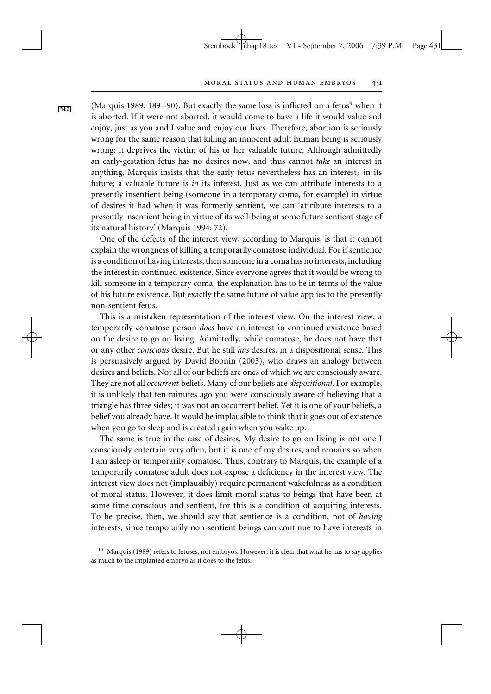#### moral status and human embryos

 $F<sub>FN:9</sub>$  (Marquis 1989: 189–90). But exactly the same loss is inflicted on a fetus<sup>9</sup> when it is aborted. If it were not aborted, it would come to have a life it would value and enjoy, just as you and I value and enjoy our lives. Therefore, abortion is seriously wrong for the same reason that killing an innocent adult human being is seriously wrong: it deprives the victim of his or her valuable future. Although admittedly an early-gestation fetus has no desires now, and thus cannot *take* an interest in anything, Marquis insists that the early fetus nevertheless has an interest<sub>2</sub> in its future; a valuable future is *in* its interest. Just as we can attribute interests to a presently insentient being (someone in a temporary coma, for example) in virtue of desires it had when it was formerly sentient, we can 'attribute interests to a presently insentient being in virtue of its well-being at some future sentient stage of its natural history' (Marquis 1994: 72).

> One of the defects of the interest view, according to Marquis, is that it cannot explain the wrongness of killing a temporarily comatose individual. For if sentience is a condition of having interests, then someone in a coma has no interests, including the interest in continued existence. Since everyone agrees that it would be wrong to kill someone in a temporary coma, the explanation has to be in terms of the value of his future existence. But exactly the same future of value applies to the presently non-sentient fetus.

> This is a mistaken representation of the interest view. On the interest view, a temporarily comatose person *does* have an interest in continued existence based on the desire to go on living. Admittedly, while comatose, he does not have that or any other *conscious* desire. But he still *has* desires, in a dispositional sense. This is persuasively argued by David Boonin (2003), who draws an analogy between desires and beliefs. Not all of our beliefs are ones of which we are consciously aware. They are not all *occurrent* beliefs. Many of our beliefs are *dispositional*. For example, it is unlikely that ten minutes ago you were consciously aware of believing that a triangle has three sides; it was not an occurrent belief. Yet it is one of your beliefs, a belief you already have. It would be implausible to think that it goes out of existence when you go to sleep and is created again when you wake up.

> The same is true in the case of desires. My desire to go on living is not one I consciously entertain very often, but it is one of my desires, and remains so when I am asleep or temporarily comatose. Thus, contrary to Marquis, the example of a temporarily comatose adult does not expose a deficiency in the interest view. The interest view does not (implausibly) require permanent wakefulness as a condition of moral status. However, it does limit moral status to beings that have been at some time conscious and sentient, for this is a condition of acquiring interests. To be precise, then, we should say that sentience is a condition, not of *having* interests, since temporarily non-sentient beings can continue to have interests in

 $\bigoplus$ 

 $\oplus$ 

<sup>&</sup>lt;sup>10</sup> Marquis (1989) refers to fetuses, not embryos. However, it is clear that what he has to say applies as much to the implanted embryo as it does to the fetus.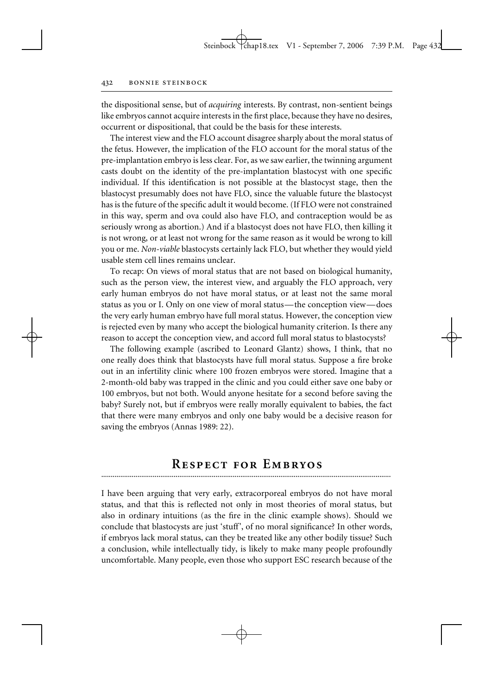#### 432 BONNIE STEINBOCK

 $\oplus$ 

the dispositional sense, but of *acquiring* interests. By contrast, non-sentient beings like embryos cannot acquire interests in the first place, because they have no desires, occurrent or dispositional, that could be the basis for these interests.

The interest view and the FLO account disagree sharply about the moral status of the fetus. However, the implication of the FLO account for the moral status of the pre-implantation embryo is less clear. For, as we saw earlier, the twinning argument casts doubt on the identity of the pre-implantation blastocyst with one specific individual. If this identification is not possible at the blastocyst stage, then the blastocyst presumably does not have FLO, since the valuable future the blastocyst has is the future of the specific adult it would become. (If FLO were not constrained in this way, sperm and ova could also have FLO, and contraception would be as seriously wrong as abortion.) And if a blastocyst does not have FLO, then killing it is not wrong, or at least not wrong for the same reason as it would be wrong to kill you or me. *Non-viable* blastocysts certainly lack FLO, but whether they would yield usable stem cell lines remains unclear.

To recap: On views of moral status that are not based on biological humanity, such as the person view, the interest view, and arguably the FLO approach, very early human embryos do not have moral status, or at least not the same moral status as you or I. Only on one view of moral status— the conception view—does the very early human embryo have full moral status. However, the conception view is rejected even by many who accept the biological humanity criterion. Is there any reason to accept the conception view, and accord full moral status to blastocysts?

The following example (ascribed to Leonard Glantz) shows, I think, that no one really does think that blastocysts have full moral status. Suppose a fire broke out in an infertility clinic where 100 frozen embryos were stored. Imagine that a 2-month-old baby was trapped in the clinic and you could either save one baby or 100 embryos, but not both. Would anyone hesitate for a second before saving the baby? Surely not, but if embryos were really morally equivalent to babies, the fact that there were many embryos and only one baby would be a decisive reason for saving the embryos (Annas 1989: 22).

## **Respect for Embryos**

••••••••••••••••••••••••••••••••••••••••••••••••••••••••••••••••••••••••••••••••••••••••••••••••••••••••••••••••••••••••••••••• •••••••••••••••••••••••••

I have been arguing that very early, extracorporeal embryos do not have moral status, and that this is reflected not only in most theories of moral status, but also in ordinary intuitions (as the fire in the clinic example shows). Should we conclude that blastocysts are just 'stuff', of no moral significance? In other words, if embryos lack moral status, can they be treated like any other bodily tissue? Such a conclusion, while intellectually tidy, is likely to make many people profoundly uncomfortable. Many people, even those who support ESC research because of the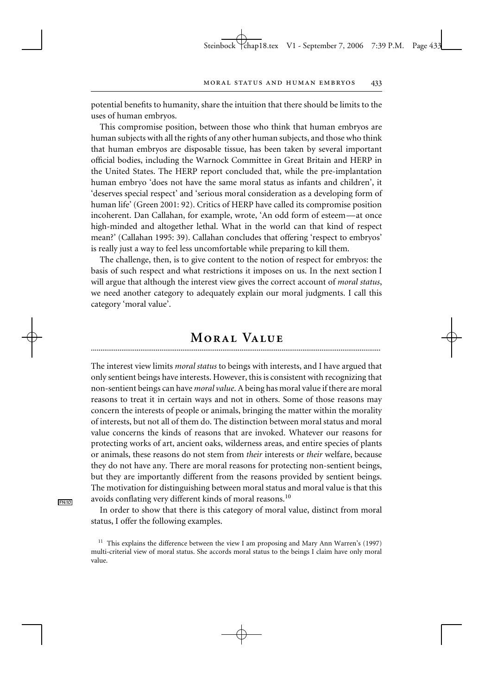potential benefits to humanity, share the intuition that there should be limits to the uses of human embryos.

This compromise position, between those who think that human embryos are human subjects with all the rights of any other human subjects, and those who think that human embryos are disposable tissue, has been taken by several important official bodies, including the Warnock Committee in Great Britain and HERP in the United States. The HERP report concluded that, while the pre-implantation human embryo 'does not have the same moral status as infants and children', it 'deserves special respect' and 'serious moral consideration as a developing form of human life' (Green 2001: 92). Critics of HERP have called its compromise position incoherent. Dan Callahan, for example, wrote, 'An odd form of esteem—at once high-minded and altogether lethal. What in the world can that kind of respect mean?' (Callahan 1995: 39). Callahan concludes that offering 'respect to embryos' is really just a way to feel less uncomfortable while preparing to kill them.

The challenge, then, is to give content to the notion of respect for embryos: the basis of such respect and what restrictions it imposes on us. In the next section I will argue that although the interest view gives the correct account of *moral status*, we need another category to adequately explain our moral judgments. I call this category 'moral value'.

## **Moral Value** ••••••••••••••••••••••••••••••••••••••••••••••••••••••••••••••••••••••••••••••••••••••••••••••••••••••••••••••••••••••••••••••• •••••••••••••••••••••••••

The interest view limits *moral status* to beings with interests, and I have argued that only sentient beings have interests. However, this is consistent with recognizing that non-sentient beings can have *moral value*. A being has moral value if there are moral reasons to treat it in certain ways and not in others. Some of those reasons may concern the interests of people or animals, bringing the matter within the morality of interests, but not all of them do. The distinction between moral status and moral value concerns the kinds of reasons that are invoked. Whatever our reasons for protecting works of art, ancient oaks, wilderness areas, and entire species of plants or animals, these reasons do not stem from *their* interests or *their* welfare, because they do not have any. There are moral reasons for protecting non-sentient beings, but they are importantly different from the reasons provided by sentient beings. The motivation for distinguishing between moral status and moral value is that this **EN:10** avoids conflating very different kinds of moral reasons.<sup>10</sup>

 $\oplus$ 

In order to show that there is this category of moral value, distinct from moral status, I offer the following examples.

 $11$  This explains the difference between the view I am proposing and Mary Ann Warren's (1997) multi-criterial view of moral status. She accords moral status to the beings I claim have only moral value.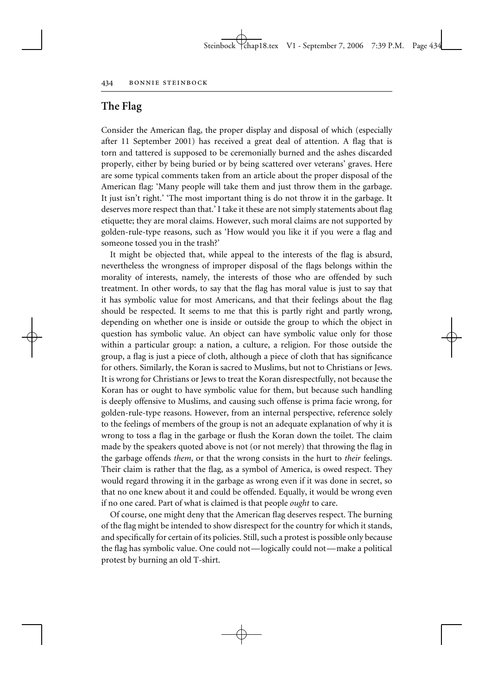#### 434 BONNIE STEINBOCK

## **The Flag**

 $\oplus$ 

Consider the American flag, the proper display and disposal of which (especially after 11 September 2001) has received a great deal of attention. A flag that is torn and tattered is supposed to be ceremonially burned and the ashes discarded properly, either by being buried or by being scattered over veterans' graves. Here are some typical comments taken from an article about the proper disposal of the American flag: 'Many people will take them and just throw them in the garbage. It just isn't right.' 'The most important thing is do not throw it in the garbage. It deserves more respect than that.' I take it these are not simply statements about flag etiquette; they are moral claims. However, such moral claims are not supported by golden-rule-type reasons, such as 'How would you like it if you were a flag and someone tossed you in the trash?'

It might be objected that, while appeal to the interests of the flag is absurd, nevertheless the wrongness of improper disposal of the flags belongs within the morality of interests, namely, the interests of those who are offended by such treatment. In other words, to say that the flag has moral value is just to say that it has symbolic value for most Americans, and that their feelings about the flag should be respected. It seems to me that this is partly right and partly wrong, depending on whether one is inside or outside the group to which the object in question has symbolic value. An object can have symbolic value only for those within a particular group: a nation, a culture, a religion. For those outside the group, a flag is just a piece of cloth, although a piece of cloth that has significance for others. Similarly, the Koran is sacred to Muslims, but not to Christians or Jews. It is wrong for Christians or Jews to treat the Koran disrespectfully, not because the Koran has or ought to have symbolic value for them, but because such handling is deeply offensive to Muslims, and causing such offense is prima facie wrong, for golden-rule-type reasons. However, from an internal perspective, reference solely to the feelings of members of the group is not an adequate explanation of why it is wrong to toss a flag in the garbage or flush the Koran down the toilet. The claim made by the speakers quoted above is not (or not merely) that throwing the flag in the garbage offends *them*, or that the wrong consists in the hurt to *their* feelings. Their claim is rather that the flag, as a symbol of America, is owed respect. They would regard throwing it in the garbage as wrong even if it was done in secret, so that no one knew about it and could be offended. Equally, it would be wrong even if no one cared. Part of what is claimed is that people *ought* to care.

Of course, one might deny that the American flag deserves respect. The burning of the flag might be intended to show disrespect for the country for which it stands, and specifically for certain of its policies. Still, such a protest is possible only because the flag has symbolic value. One could not—logically could not—make a political protest by burning an old T-shirt.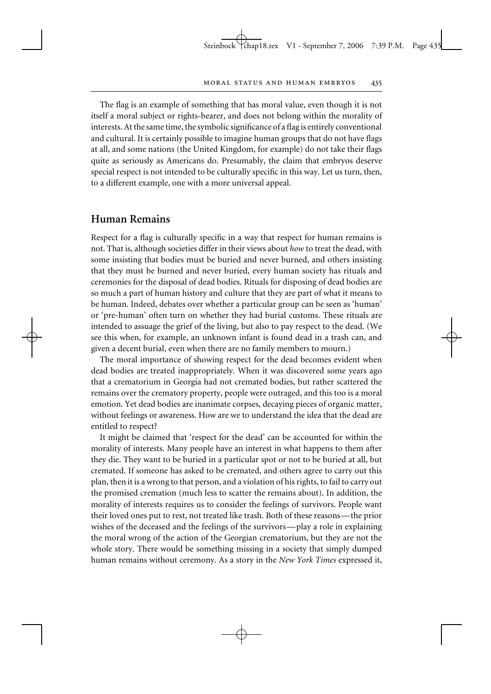#### moral status and human embryos

The flag is an example of something that has moral value, even though it is not itself a moral subject or rights-bearer, and does not belong within the morality of interests. At the same time, the symbolic significance of a flag is entirely conventional and cultural. It is certainly possible to imagine human groups that do not have flags at all, and some nations (the United Kingdom, for example) do not take their flags quite as seriously as Americans do. Presumably, the claim that embryos deserve special respect is not intended to be culturally specific in this way. Let us turn, then, to a different example, one with a more universal appeal.

## **Human Remains**

 $\oplus$ 

Respect for a flag is culturally specific in a way that respect for human remains is not. That is, although societies differ in their views about *how* to treat the dead, with some insisting that bodies must be buried and never burned, and others insisting that they must be burned and never buried, every human society has rituals and ceremonies for the disposal of dead bodies. Rituals for disposing of dead bodies are so much a part of human history and culture that they are part of what it means to be human. Indeed, debates over whether a particular group can be seen as 'human' or 'pre-human' often turn on whether they had burial customs. These rituals are intended to assuage the grief of the living, but also to pay respect to the dead. (We see this when, for example, an unknown infant is found dead in a trash can, and given a decent burial, even when there are no family members to mourn.)

The moral importance of showing respect for the dead becomes evident when dead bodies are treated inappropriately. When it was discovered some years ago that a crematorium in Georgia had not cremated bodies, but rather scattered the remains over the crematory property, people were outraged, and this too is a moral emotion. Yet dead bodies are inanimate corpses, decaying pieces of organic matter, without feelings or awareness. How are we to understand the idea that the dead are entitled to respect?

It might be claimed that 'respect for the dead' can be accounted for within the morality of interests. Many people have an interest in what happens to them after they die. They want to be buried in a particular spot or not to be buried at all, but cremated. If someone has asked to be cremated, and others agree to carry out this plan, then it is a wrong to that person, and a violation of his rights, to fail to carry out the promised cremation (much less to scatter the remains about). In addition, the morality of interests requires us to consider the feelings of survivors. People want their loved ones put to rest, not treated like trash. Both of these reasons— the prior wishes of the deceased and the feelings of the survivors—play a role in explaining the moral wrong of the action of the Georgian crematorium, but they are not the whole story. There would be something missing in a society that simply dumped human remains without ceremony. As a story in the *New York Times* expressed it,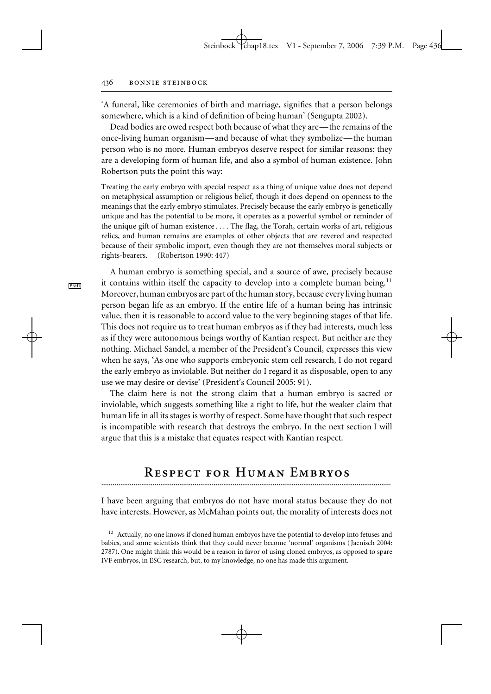#### 436 BONNIE STEINBOCK

'A funeral, like ceremonies of birth and marriage, signifies that a person belongs somewhere, which is a kind of definition of being human' (Sengupta 2002).

Dead bodies are owed respect both because of what they are— the remains of the once-living human organism—and because of what they symbolize— the human person who is no more. Human embryos deserve respect for similar reasons: they are a developing form of human life, and also a symbol of human existence. John Robertson puts the point this way:

Treating the early embryo with special respect as a thing of unique value does not depend on metaphysical assumption or religious belief, though it does depend on openness to the meanings that the early embryo stimulates. Precisely because the early embryo is genetically unique and has the potential to be more, it operates as a powerful symbol or reminder of the unique gift of human existence *...* . The flag, the Torah, certain works of art, religious relics, and human remains are examples of other objects that are revered and respected because of their symbolic import, even though they are not themselves moral subjects or rights-bearers. (Robertson 1990: 447)

A human embryo is something special, and a source of awe, precisely because  $F<sub>FN:III</sub>$  it contains within itself the capacity to develop into a complete human being.<sup>11</sup> Moreover, human embryos are part of the human story, because every living human person began life as an embryo. If the entire life of a human being has intrinsic value, then it is reasonable to accord value to the very beginning stages of that life. This does not require us to treat human embryos as if they had interests, much less as if they were autonomous beings worthy of Kantian respect. But neither are they nothing. Michael Sandel, a member of the President's Council, expresses this view when he says, 'As one who supports embryonic stem cell research, I do not regard the early embryo as inviolable. But neither do I regard it as disposable, open to any use we may desire or devise' (President's Council 2005: 91).

> The claim here is not the strong claim that a human embryo is sacred or inviolable, which suggests something like a right to life, but the weaker claim that human life in all its stages is worthy of respect. Some have thought that such respect is incompatible with research that destroys the embryo. In the next section I will argue that this is a mistake that equates respect with Kantian respect.

### **Respect for Human Embryos** ••••••••••••••••••••••••••••••••••••••••••••••••••••••••••••••••••••••••••••••••••••••••••••••••••••••••••••••••••••••••••••••• •••••••••••••••••••••••••

I have been arguing that embryos do not have moral status because they do not have interests. However, as McMahan points out, the morality of interests does not

 $\bigoplus$ 

 $\oplus$ 

<sup>&</sup>lt;sup>12</sup> Actually, no one knows if cloned human embryos have the potential to develop into fetuses and babies, and some scientists think that they could never become 'normal' organisms ( Jaenisch 2004: 2787). One might think this would be a reason in favor of using cloned embryos, as opposed to spare IVF embryos, in ESC research, but, to my knowledge, no one has made this argument.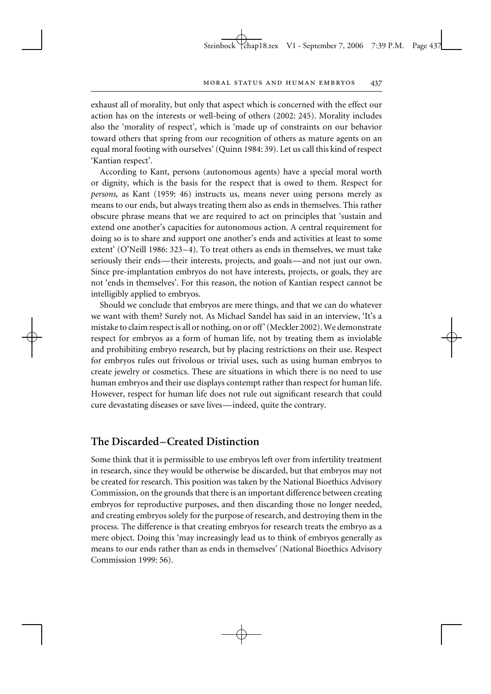#### moral status and human embryos

exhaust all of morality, but only that aspect which is concerned with the effect our action has on the interests or well-being of others (2002: 245). Morality includes also the 'morality of respect', which is 'made up of constraints on our behavior toward others that spring from our recognition of others as mature agents on an equal moral footing with ourselves' (Quinn 1984: 39). Let us call this kind of respect 'Kantian respect'.

According to Kant, persons (autonomous agents) have a special moral worth or dignity, which is the basis for the respect that is owed to them. Respect for *persons,* as Kant (1959: 46) instructs us, means never using persons merely as means to our ends, but always treating them also as ends in themselves. This rather obscure phrase means that we are required to act on principles that 'sustain and extend one another's capacities for autonomous action. A central requirement for doing so is to share and support one another's ends and activities at least to some extent' (O'Neill 1986: 323–4). To treat others as ends in themselves, we must take seriously their ends— their interests, projects, and goals—and not just our own. Since pre-implantation embryos do not have interests, projects, or goals, they are not 'ends in themselves'. For this reason, the notion of Kantian respect cannot be intelligibly applied to embryos.

Should we conclude that embryos are mere things, and that we can do whatever we want with them? Surely not. As Michael Sandel has said in an interview, 'It's a mistake to claim respect is all or nothing, on or off' (Meckler 2002). We demonstrate respect for embryos as a form of human life, not by treating them as inviolable and prohibiting embryo research, but by placing restrictions on their use. Respect for embryos rules out frivolous or trivial uses, such as using human embryos to create jewelry or cosmetics. These are situations in which there is no need to use human embryos and their use displays contempt rather than respect for human life. However, respect for human life does not rule out significant research that could cure devastating diseases or save lives—indeed, quite the contrary.

## **The Discarded–Created Distinction**

 $\oplus$ 

Some think that it is permissible to use embryos left over from infertility treatment in research, since they would be otherwise be discarded, but that embryos may not be created for research. This position was taken by the National Bioethics Advisory Commission, on the grounds that there is an important difference between creating embryos for reproductive purposes, and then discarding those no longer needed, and creating embryos solely for the purpose of research, and destroying them in the process. The difference is that creating embryos for research treats the embryo as a mere object. Doing this 'may increasingly lead us to think of embryos generally as means to our ends rather than as ends in themselves' (National Bioethics Advisory Commission 1999: 56).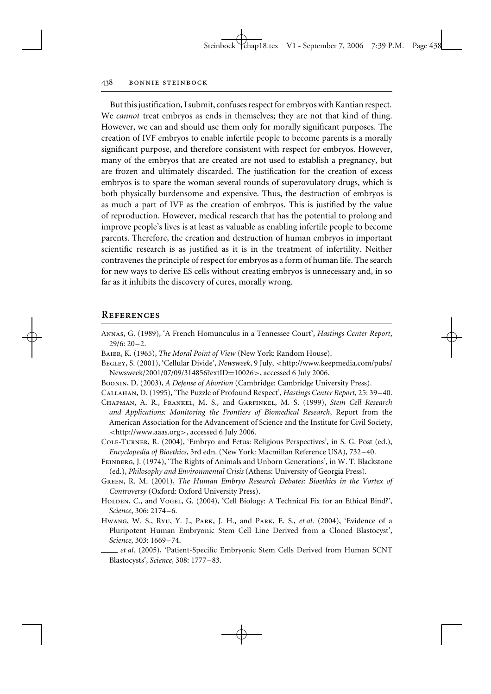#### 438 BONNIE STEINBOCK

But this justification, I submit, confuses respect for embryos with Kantian respect. We *cannot* treat embryos as ends in themselves; they are not that kind of thing. However, we can and should use them only for morally significant purposes. The creation of IVF embryos to enable infertile people to become parents is a morally significant purpose, and therefore consistent with respect for embryos. However, many of the embryos that are created are not used to establish a pregnancy, but are frozen and ultimately discarded. The justification for the creation of excess embryos is to spare the woman several rounds of superovulatory drugs, which is both physically burdensome and expensive. Thus, the destruction of embryos is as much a part of IVF as the creation of embryos. This is justified by the value of reproduction. However, medical research that has the potential to prolong and improve people's lives is at least as valuable as enabling infertile people to become parents. Therefore, the creation and destruction of human embryos in important scientific research is as justified as it is in the treatment of infertility. Neither contravenes the principle of respect for embryos as a form of human life. The search for new ways to derive ES cells without creating embryos is unnecessary and, in so far as it inhibits the discovery of cures, morally wrong.

#### **References**

 $\oplus$ 

- Annas, G. (1989), 'A French Homunculus in a Tennessee Court', *Hastings Center Report*,  $29/6: 20-2.$
- Baier, K. (1965), *The Moral Point of View* (New York: Random House).
- Begley, S. (2001), 'Cellular Divide', *Newsweek*, 9 July, *<*http://www.keepmedia.com/pubs/ Newsweek/2001/07/09/314856?extID=10026*>*, accessed 6 July 2006.
- Boonin, D. (2003), *A Defense of Abortion* (Cambridge: Cambridge University Press).
- Callahan, D. (1995), 'The Puzzle of Profound Respect', *Hastings Center Report*, 25: 39–40.
- Chapman, A. R., Frankel, M. S., and Garfinkel, M. S. (1999), *Stem Cell Research and Applications: Monitoring the Frontiers of Biomedical Research*, Report from the American Association for the Advancement of Science and the Institute for Civil Society, *<*http://www.aaas.org*>*, accessed 6 July 2006.
- Cole-Turner, R. (2004), 'Embryo and Fetus: Religious Perspectives', in S. G. Post (ed.), *Encyclopedia of Bioethics*, 3rd edn. (New York: Macmillan Reference USA), 732–40.
- Feinberg, J. (1974), 'The Rights of Animals and Unborn Generations', in W. T. Blackstone (ed.), *Philosophy and Environmental Crisis* (Athens: University of Georgia Press).
- Green, R. M. (2001), *The Human Embryo Research Debates: Bioethics in the Vortex of Controversy* (Oxford: Oxford University Press).
- Holden, C., and Vogel, G. (2004), 'Cell Biology: A Technical Fix for an Ethical Bind?', *Science*, 306: 2174–6.
- Hwang, W. S., Ryu, Y. J., Park, J. H., and Park, E. S., *et al*. (2004), 'Evidence of a Pluripotent Human Embryonic Stem Cell Line Derived from a Cloned Blastocyst', *Science*, 303: 1669–74.
- *et al*. (2005), 'Patient-Specific Embryonic Stem Cells Derived from Human SCNT Blastocysts', *Science*, 308: 1777–83.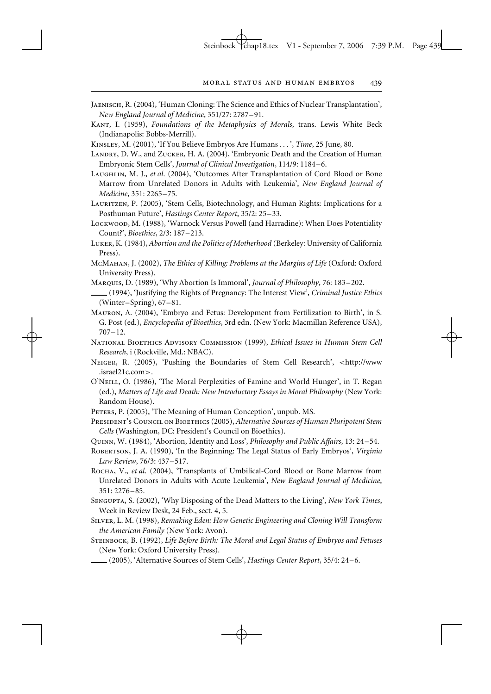- Jaenisch, R. (2004), 'Human Cloning: The Science and Ethics of Nuclear Transplantation', *New England Journal of Medicine*, 351/27: 2787–91.
- Kant, I. (1959), *Foundations of the Metaphysics of Morals*, trans. Lewis White Beck (Indianapolis: Bobbs-Merrill).
- Kinsley, M. (2001), 'If You Believe Embryos Are Humans*...* ', *Time*, 25 June, 80.
- LANDRY, D. W., and ZUCKER, H. A. (2004), 'Embryonic Death and the Creation of Human Embryonic Stem Cells', *Journal of Clinical Investigation*, 114/9: 1184–6.
- Laughlin, M. J., *et al*. (2004), 'Outcomes After Transplantation of Cord Blood or Bone Marrow from Unrelated Donors in Adults with Leukemia', *New England Journal of Medicine*, 351: 2265–75.
- LAURITZEN, P. (2005), 'Stem Cells, Biotechnology, and Human Rights: Implications for a Posthuman Future', *Hastings Center Report*, 35/2: 25–33.
- Lockwood, M. (1988), 'Warnock Versus Powell (and Harradine): When Does Potentiality Count?', *Bioethics*, 2/3: 187–213.
- Luker, K. (1984), *Abortion and the Politics of Motherhood* (Berkeley: University of California Press).
- McMahan, J. (2002), *The Ethics of Killing: Problems at the Margins of Life* (Oxford: Oxford University Press).
- Marquis, D. (1989), 'Why Abortion Is Immoral', *Journal of Philosophy*, 76: 183–202.
- (1994), 'Justifying the Rights of Pregnancy: The Interest View', *Criminal Justice Ethics* (Winter–Spring), 67–81.
- Mauron, A. (2004), 'Embryo and Fetus: Development from Fertilization to Birth', in S. G. Post (ed.), *Encyclopedia of Bioethics*, 3rd edn. (New York: Macmillan Reference USA), 707–12.
- National Bioethics Advisory Commission (1999), *Ethical Issues in Human Stem Cell Research*, i (Rockville, Md.: NBAC).
- Neiger, R. (2005), 'Pushing the Boundaries of Stem Cell Research', *<*http://www .israel21c.com*>*.
- O'Neill, O. (1986), 'The Moral Perplexities of Famine and World Hunger', in T. Regan (ed.), *Matters of Life and Death: New Introductory Essays in Moral Philosophy* (New York: Random House).
- PETERS, P. (2005), 'The Meaning of Human Conception', unpub. MS.

 $\oplus$ 

- President's Council on Bioethics (2005), *Alternative Sources of Human Pluripotent Stem Cells* (Washington, DC: President's Council on Bioethics).
- Quinn, W. (1984), 'Abortion, Identity and Loss', *Philosophy and Public Affairs*, 13: 24–54.
- Robertson, J. A. (1990), 'In the Beginning: The Legal Status of Early Embryos', *Virginia Law Review*, 76/3: 437–517.
- Rocha, V., *et al*. (2004), 'Transplants of Umbilical-Cord Blood or Bone Marrow from Unrelated Donors in Adults with Acute Leukemia', *New England Journal of Medicine*, 351: 2276–85.
- Sengupta, S. (2002), 'Why Disposing of the Dead Matters to the Living', *New York Times*, Week in Review Desk, 24 Feb., sect. 4, 5.
- Silver, L. M. (1998), *Remaking Eden: How Genetic Engineering and Cloning Will Transform the American Family* (New York: Avon).
- Steinbock, B. (1992), *Life Before Birth: The Moral and Legal Status of Embryos and Fetuses* (New York: Oxford University Press).

 $\bigoplus$ 

(2005), 'Alternative Sources of Stem Cells', *Hastings Center Report*, 35/4: 24–6.